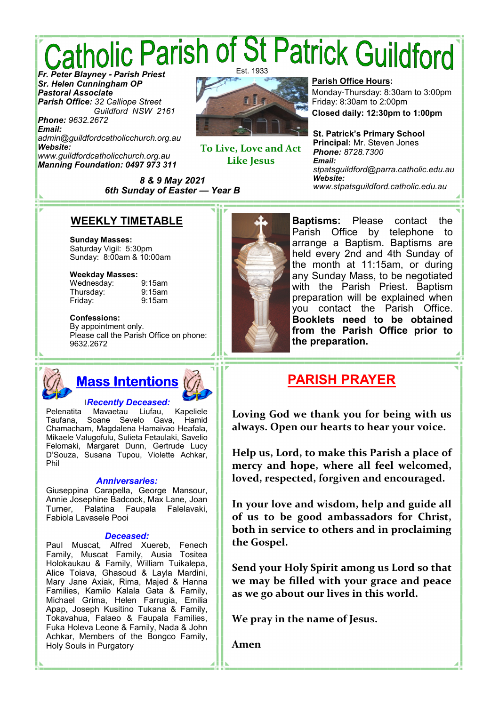# *Catholic Parish of St Patrick Guildford* Est. 1933

*Sr. Helen Cunningham OP Pastoral Associate Parish Office: 32 Calliope Street Guildford NSW 2161 Phone: 9632.2672*

*Email: admin@guildfordcatholicchurch.org.au Website: www.guildfordcatholicchurch.org.au Manning Foundation: 0497 973 311*



**To Live, Love and Act Like Jesus** 

**Parish Office Hours:**

Monday-Thursday: 8:30am to 3:00pm Friday: 8:30am to 2:00pm

**Closed daily: 12:30pm to 1:00pm**

**St. Patrick's Primary School Principal:** Mr. Steven Jones *Phone: 8728.7300 Email: stpatsguildford@parra.catholic.edu.au Website: www.stpatsguildford.catholic.edu.au*

*8 & 9 May 2021 6th Sunday of Easter* **—** *Year B*

### **WEEKLY TIMETABLE**

**Sunday Masses:** Saturday Vigil: 5:30pm Sunday: 8:00am & 10:00am

#### **Weekday Masses:**

Wednesday: 9:15am Thursday: 9:15am Friday: 9:15am

### **Confessions:**

By appointment only. Please call the Parish Office on phone: 9632.2672



#### l*Recently Deceased:*

Pelenatita Mavaetau Liufau, Kapeliele Taufana, Soane Sevelo Gava, Hamid Chamacham, Magdalena Hamaivao Heafala, Mikaele Valugofulu, Sulieta Fetaulaki, Savelio Felomaki, Margaret Dunn, Gertrude Lucy D'Souza, Susana Tupou, Violette Achkar, Phil

#### *Anniversaries:*

Giuseppina Carapella, George Mansour, Annie Josephine Badcock, Max Lane, Joan Faupala Falelavaki, Fabiola Lavasele Pooi

#### *Deceased:*

Paul Muscat, Alfred Xuereb, Fenech Family, Muscat Family, Ausia Tositea Holokaukau & Family, William Tuikalepa, Alice Toiava, Ghasoud & Layla Mardini, Mary Jane Axiak, Rima, Majed & Hanna Families, Kamilo Kalala Gata & Family, Michael Grima, Helen Farrugia, Emilia Apap, Joseph Kusitino Tukana & Family, Tokavahua, Falaeo & Faupala Families, Fuka Holeva Leone & Family, Nada & John Achkar, Members of the Bongco Family, Holy Souls in Purgatory



**Baptisms:** Please contact the Parish Office by telephone to arrange a Baptism. Baptisms are held every 2nd and 4th Sunday of the month at 11:15am, or during any Sunday Mass, to be negotiated with the Parish Priest. Baptism preparation will be explained when you contact the Parish Office. **Booklets need to be obtained from the Parish Office prior to the preparation.**

## **PARISH PRAYER**

**Loving God we thank you for being with us always. Open our hearts to hear your voice.** 

**Help us, Lord, to make this Parish a place of mercy and hope, where all feel welcomed, loved, respected, forgiven and encouraged.** 

**In your love and wisdom, help and guide all of us to be good ambassadors for Christ, both in service to others and in proclaiming the Gospel.** 

**Send your Holy Spirit among us Lord so that we may be filled with your grace and peace as we go about our lives in this world.** 

**We pray in the name of Jesus.** 

**Amen**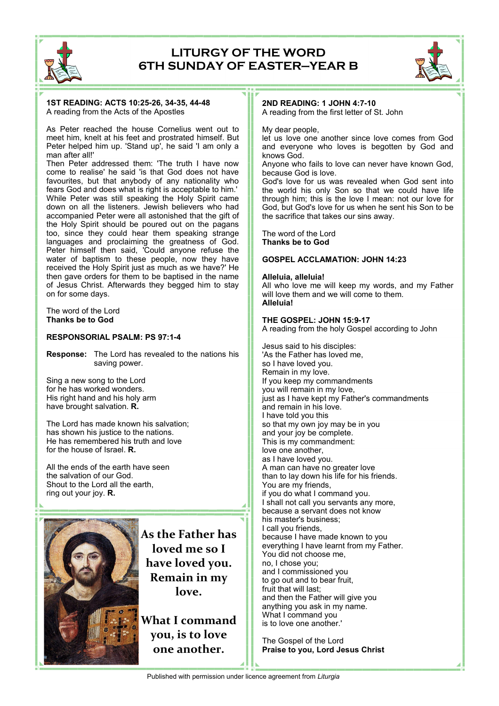

### **LITURGY OF THE WORD 6TH SUNDAY OF EASTER—YEAR B**



#### **1ST READING: ACTS 10:25-26, 34-35, 44-48** A reading from the Acts of the Apostles

As Peter reached the house Cornelius went out to meet him, knelt at his feet and prostrated himself. But Peter helped him up. 'Stand up', he said 'I am only a man after all!'

Then Peter addressed them: 'The truth I have now come to realise' he said 'is that God does not have favourites, but that anybody of any nationality who fears God and does what is right is acceptable to him.' While Peter was still speaking the Holy Spirit came down on all the listeners. Jewish believers who had accompanied Peter were all astonished that the gift of the Holy Spirit should be poured out on the pagans too, since they could hear them speaking strange languages and proclaiming the greatness of God. Peter himself then said, 'Could anyone refuse the water of baptism to these people, now they have received the Holy Spirit just as much as we have?' He then gave orders for them to be baptised in the name of Jesus Christ. Afterwards they begged him to stay on for some days.

#### The word of the Lord **Thanks be to God**

#### **RESPONSORIAL PSALM: PS 97:1-4**

**Response:** The Lord has revealed to the nations his saving power.

Sing a new song to the Lord for he has worked wonders. His right hand and his holy arm have brought salvation. **R.**

The Lord has made known his salvation; has shown his justice to the nations. He has remembered his truth and love for the house of Israel. **R.**

All the ends of the earth have seen the salvation of our God. Shout to the Lord all the earth, ring out your joy. **R.**



**As the Father has loved me so I have loved you. Remain in my love.** 

**What I command you, is to love one another.** 

#### **2ND READING: 1 JOHN 4:7-10**

A reading from the first letter of St. John

My dear people,

let us love one another since love comes from God and everyone who loves is begotten by God and knows God.

Anyone who fails to love can never have known God, because God is love.

God's love for us was revealed when God sent into the world his only Son so that we could have life through him; this is the love I mean: not our love for God, but God's love for us when he sent his Son to be the sacrifice that takes our sins away.

The word of the Lord **Thanks be to God**

#### **GOSPEL ACCLAMATION: JOHN 14:23**

#### **Alleluia, alleluia!**

All who love me will keep my words, and my Father will love them and we will come to them. **Alleluia!**

#### **THE GOSPEL: JOHN 15:9-17**

A reading from the holy Gospel according to John

Jesus said to his disciples: 'As the Father has loved me, so I have loved you. Remain in my love. If you keep my commandments you will remain in my love, just as I have kept my Father's commandments and remain in his love. I have told you this so that my own joy may be in you and your joy be complete. This is my commandment: love one another, as I have loved you. A man can have no greater love than to lay down his life for his friends. You are my friends, if you do what I command you. I shall not call you servants any more, because a servant does not know his master's business; I call you friends, because I have made known to you everything I have learnt from my Father. You did not choose me, no, I chose you; and I commissioned you to go out and to bear fruit, fruit that will last; and then the Father will give you anything you ask in my name. What I command you is to love one another.'

The Gospel of the Lord **Praise to you, Lord Jesus Christ**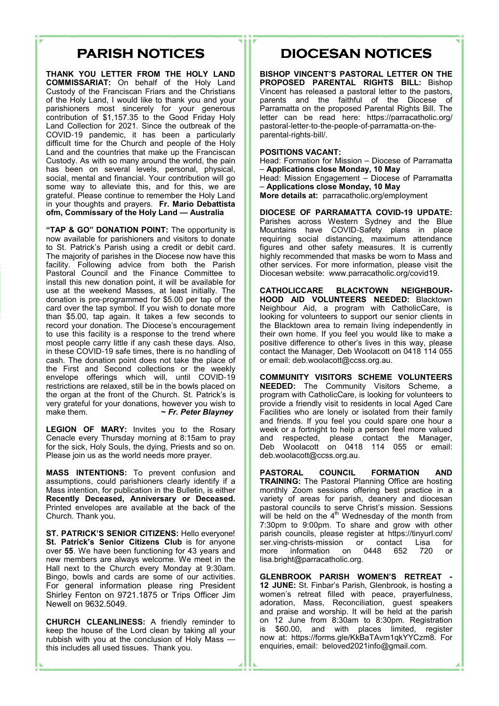### **PARISH NOTICES**

**THANK YOU LETTER FROM THE HOLY LAND COMMISSARIAT:** On behalf of the Holy Land Custody of the Franciscan Friars and the Christians of the Holy Land, I would like to thank you and your parishioners most sincerely for your generous contribution of \$1,157.35 to the Good Friday Holy Land Collection for 2021. Since the outbreak of the COVID-19 pandemic, it has been a particularly difficult time for the Church and people of the Holy Land and the countries that make up the Franciscan Custody. As with so many around the world, the pain has been on several levels, personal, physical, social, mental and financial. Your contribution will go some way to alleviate this, and for this, we are grateful. Please continue to remember the Holy Land in your thoughts and prayers. **Fr. Mario Debattista ofm, Commissary of the Holy Land — Australia**

**"TAP & GO" DONATION POINT:** The opportunity is now available for parishioners and visitors to donate to St. Patrick's Parish using a credit or debit card. The majority of parishes in the Diocese now have this facility. Following advice from both the Parish Pastoral Council and the Finance Committee to install this new donation point, it will be available for use at the weekend Masses, at least initially. The donation is pre-programmed for \$5.00 per tap of the card over the tap symbol. If you wish to donate more than \$5.00, tap again. It takes a few seconds to record your donation. The Diocese's encouragement to use this facility is a response to the trend where most people carry little if any cash these days. Also, in these COVID-19 safe times, there is no handling of cash. The donation point does not take the place of the First and Second collections or the weekly envelope offerings which will, until COVID-19 restrictions are relaxed, still be in the bowls placed on the organ at the front of the Church. St. Patrick's is very grateful for your donations, however you wish to make them. **~** *Fr. Peter Blayney*

**LEGION OF MARY:** Invites you to the Rosary Cenacle every Thursday morning at 8:15am to pray for the sick, Holy Souls, the dying, Priests and so on. Please join us as the world needs more prayer.

**MASS INTENTIONS:** To prevent confusion and assumptions, could parishioners clearly identify if a Mass intention, for publication in the Bulletin, is either **Recently Deceased, Anniversary or Deceased.** Printed envelopes are available at the back of the Church. Thank you.

**ST. PATRICK'S SENIOR CITIZENS:** Hello everyone! St. Patrick's Senior Citizens Club is for anyone over **55**. We have been functioning for 43 years and new members are always welcome. We meet in the Hall next to the Church every Monday at 9:30am. Bingo, bowls and cards are some of our activities. For general information please ring President Shirley Fenton on 9721.1875 or Trips Officer Jim Newell on 9632.5049.

**CHURCH CLEANLINESS:** A friendly reminder to keep the house of the Lord clean by taking all your rubbish with you at the conclusion of Holy Mass this includes all used tissues. Thank you.

# **DIOCESAN NOTICES**

**BISHOP VINCENT'S PASTORAL LETTER ON THE PROPOSED PARENTAL RIGHTS BILL:** Bishop Vincent has released a pastoral letter to the pastors, parents and the faithful of the Diocese of Parramatta on the proposed Parental Rights Bill. The letter can be read here: https://parracatholic.org/ pastoral-letter-to-the-people-of-parramatta-on-theparental-rights-bill/.

#### **POSITIONS VACANT:**

Head: Formation for Mission – Diocese of Parramatta – **Applications close Monday, 10 May** Head: Mission Engagement – Diocese of Parramatta – **Applications close Monday, 10 May More details at:** parracatholic.org/employment

**DIOCESE OF PARRAMATTA COVID-19 UPDATE:** Parishes across Western Sydney and the Blue Mountains have COVID-Safety plans in place requiring social distancing, maximum attendance figures and other safety measures. It is currently highly recommended that masks be worn to Mass and other services. For more information, please visit the Diocesan website: www.parracatholic.org/covid19.

**CATHOLICCARE BLACKTOWN NEIGHBOUR-HOOD AID VOLUNTEERS NEEDED:** Blacktown Neighbour Aid, a program with CatholicCare, is looking for volunteers to support our senior clients in the Blacktown area to remain living independently in their own home. If you feel you would like to make a positive difference to other's lives in this way, please contact the Manager, Deb Woolacott on 0418 114 055 or email: deb.woolacott@ccss.org.au.

**COMMUNITY VISITORS SCHEME VOLUNTEERS NEEDED:** The Community Visitors Scheme, a program with CatholicCare, is looking for volunteers to provide a friendly visit to residents in local Aged Care Facilities who are lonely or isolated from their family and friends. If you feel you could spare one hour a week or a fortnight to help a person feel more valued<br>and erspected. I please contact the Manager. and respected, please contact the Manager, Deb Woolacott on 0418 114 055 or email: deb.woolacott@ccss.org.au.

**PASTORAL COUNCIL FORMATION AND TRAINING:** The Pastoral Planning Office are hosting monthly Zoom sessions offering best practice in a variety of areas for parish, deanery and diocesan pastoral councils to serve Christ's mission. Sessions will be held on the  $4<sup>th</sup>$  Wednesday of the month from 7:30pm to 9:00pm. To share and grow with other parish councils, please register at https://tinyurl.com/ ser.ving-christs-mission or contact Lisa for more information on 0448 652 720 or lisa.bright@parracatholic.org.

**GLENBROOK PARISH WOMEN'S RETREAT - 12 JUNE:** St. Finbar's Parish, Glenbrook, is hosting a women's retreat filled with peace, prayerfulness, adoration, Mass, Reconciliation, guest speakers and praise and worship. It will be held at the parish on 12 June from 8:30am to 8:30pm. Registration is \$60.00, and with places limited, register now at: https://forms.gle/KkBaTAvm1qkYYCzm8. For enquiries, email: beloved2021info@gmail.com.